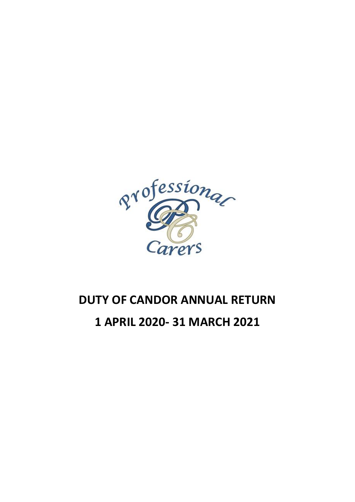

# **DUTY OF CANDOR ANNUAL RETURN 1 APRIL 2020- 31 MARCH 2021**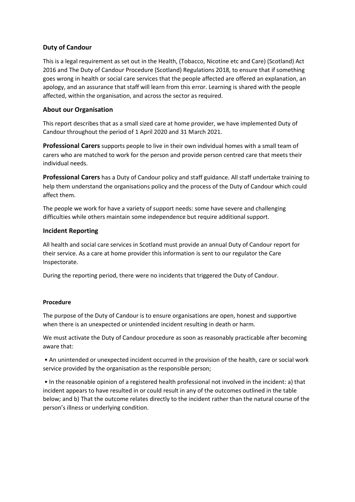## **Duty of Candour**

This is a legal requirement as set out in the Health, (Tobacco, Nicotine etc and Care) (Scotland) Act 2016 and The Duty of Candour Procedure (Scotland) Regulations 2018, to ensure that if something goes wrong in health or social care services that the people affected are offered an explanation, an apology, and an assurance that staff will learn from this error. Learning is shared with the people affected, within the organisation, and across the sector as required.

## **About our Organisation**

This report describes that as a small sized care at home provider, we have implemented Duty of Candour throughout the period of 1 April 2020 and 31 March 2021.

**Professional Carers** supports people to live in their own individual homes with a small team of carers who are matched to work for the person and provide person centred care that meets their individual needs.

**Professional Carers** has a Duty of Candour policy and staff guidance. All staff undertake training to help them understand the organisations policy and the process of the Duty of Candour which could affect them.

The people we work for have a variety of support needs: some have severe and challenging difficulties while others maintain some independence but require additional support.

#### **Incident Reporting**

All health and social care services in Scotland must provide an annual Duty of Candour report for their service. As a care at home provider this information is sent to our regulator the Care Inspectorate.

During the reporting period, there were no incidents that triggered the Duty of Candour.

#### **Procedure**

The purpose of the Duty of Candour is to ensure organisations are open, honest and supportive when there is an unexpected or unintended incident resulting in death or harm.

We must activate the Duty of Candour procedure as soon as reasonably practicable after becoming aware that:

• An unintended or unexpected incident occurred in the provision of the health, care or social work service provided by the organisation as the responsible person;

• In the reasonable opinion of a registered health professional not involved in the incident: a) that incident appears to have resulted in or could result in any of the outcomes outlined in the table below; and b) That the outcome relates directly to the incident rather than the natural course of the person's illness or underlying condition.